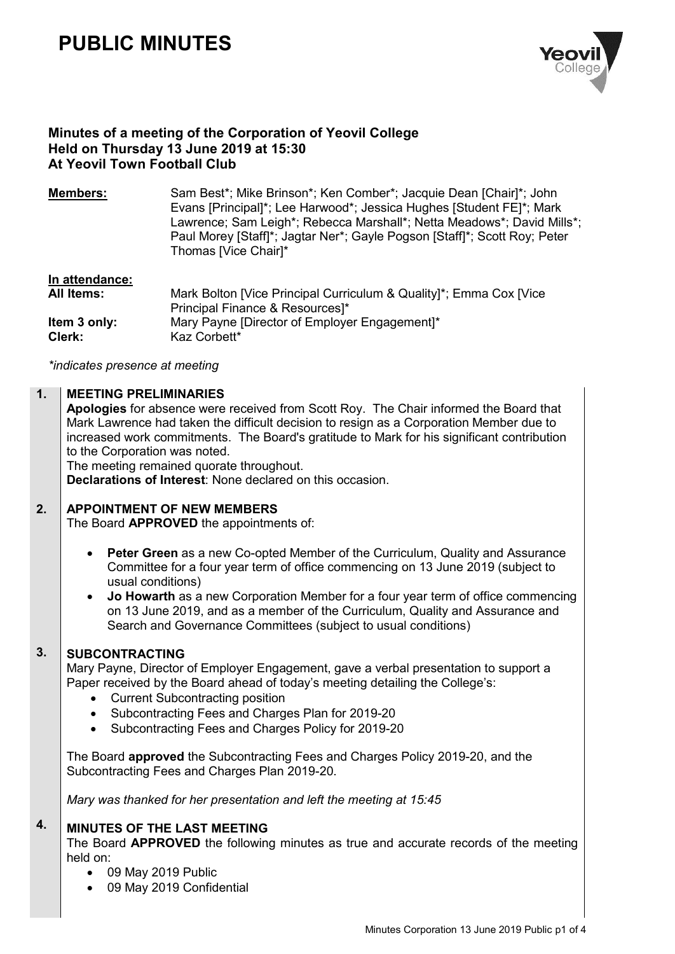# **PUBLIC MINUTES**



### **Minutes of a meeting of the Corporation of Yeovil College Held on Thursday 13 June 2019 at 15:30 At Yeovil Town Football Club**

| <b>Members:</b>                     | Sam Best*; Mike Brinson*; Ken Comber*; Jacquie Dean [Chair]*; John<br>Evans [Principal]*; Lee Harwood*; Jessica Hughes [Student FE]*; Mark<br>Lawrence; Sam Leigh*; Rebecca Marshall*; Netta Meadows*; David Mills*;<br>Paul Morey [Staff]*; Jagtar Ner*; Gayle Pogson [Staff]*; Scott Roy; Peter<br>Thomas [Vice Chair]* |
|-------------------------------------|---------------------------------------------------------------------------------------------------------------------------------------------------------------------------------------------------------------------------------------------------------------------------------------------------------------------------|
| In attendance:<br><b>All Items:</b> | Mark Bolton [Vice Principal Curriculum & Quality]*; Emma Cox [Vice                                                                                                                                                                                                                                                        |
|                                     | Principal Finance & Resources]*                                                                                                                                                                                                                                                                                           |

**Item 3 only:** Mary Payne [Director of Employer Engagement]\* **Clerk:** Kaz Corbett\*

*\*indicates presence at meeting*

#### **1. MEETING PRELIMINARIES**

**Apologies** for absence were received from Scott Roy. The Chair informed the Board that Mark Lawrence had taken the difficult decision to resign as a Corporation Member due to increased work commitments. The Board's gratitude to Mark for his significant contribution to the Corporation was noted.

The meeting remained quorate throughout. **Declarations of Interest**: None declared on this occasion.

#### **2. APPOINTMENT OF NEW MEMBERS**

The Board **APPROVED** the appointments of:

- **Peter Green** as a new Co-opted Member of the Curriculum, Quality and Assurance Committee for a four year term of office commencing on 13 June 2019 (subject to usual conditions)
- **Jo Howarth** as a new Corporation Member for a four year term of office commencing on 13 June 2019, and as a member of the Curriculum, Quality and Assurance and Search and Governance Committees (subject to usual conditions)

#### **3. SUBCONTRACTING**

Mary Payne, Director of Employer Engagement, gave a verbal presentation to support a Paper received by the Board ahead of today's meeting detailing the College's:

- Current Subcontracting position
- Subcontracting Fees and Charges Plan for 2019-20
- Subcontracting Fees and Charges Policy for 2019-20

The Board **approved** the Subcontracting Fees and Charges Policy 2019-20, and the Subcontracting Fees and Charges Plan 2019-20.

*Mary was thanked for her presentation and left the meeting at 15:45*

#### **4. MINUTES OF THE LAST MEETING**

The Board **APPROVED** the following minutes as true and accurate records of the meeting held on:

- 09 May 2019 Public
- 09 May 2019 Confidential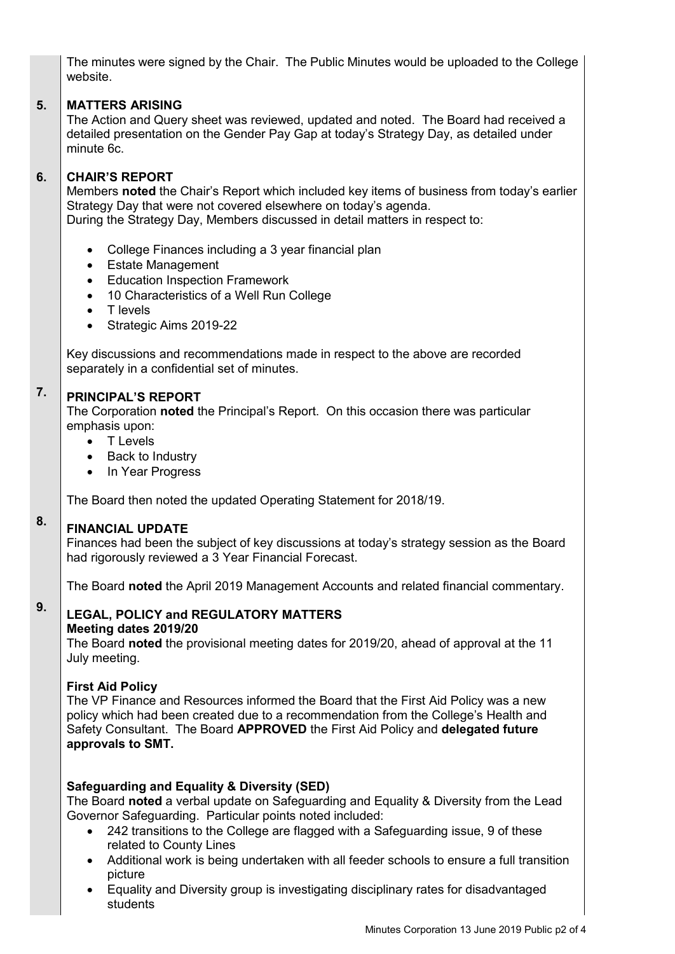The minutes were signed by the Chair. The Public Minutes would be uploaded to the College website.

#### **5. MATTERS ARISING**

The Action and Query sheet was reviewed, updated and noted. The Board had received a detailed presentation on the Gender Pay Gap at today's Strategy Day, as detailed under minute 6c.

#### **6. CHAIR'S REPORT**

Members **noted** the Chair's Report which included key items of business from today's earlier Strategy Day that were not covered elsewhere on today's agenda. During the Strategy Day, Members discussed in detail matters in respect to:

- College Finances including a 3 year financial plan
- Estate Management
- Education Inspection Framework
- 10 Characteristics of a Well Run College
- T levels
- Strategic Aims 2019-22

Key discussions and recommendations made in respect to the above are recorded separately in a confidential set of minutes.

#### **7. PRINCIPAL'S REPORT**

The Corporation **noted** the Principal's Report. On this occasion there was particular emphasis upon:

- T Levels
- Back to Industry
- In Year Progress

The Board then noted the updated Operating Statement for 2018/19.

#### **8. FINANCIAL UPDATE**

Finances had been the subject of key discussions at today's strategy session as the Board had rigorously reviewed a 3 Year Financial Forecast.

The Board **noted** the April 2019 Management Accounts and related financial commentary.

**9.**

#### **LEGAL, POLICY and REGULATORY MATTERS Meeting dates 2019/20**

The Board **noted** the provisional meeting dates for 2019/20, ahead of approval at the 11 July meeting.

## **First Aid Policy**

The VP Finance and Resources informed the Board that the First Aid Policy was a new policy which had been created due to a recommendation from the College's Health and Safety Consultant. The Board **APPROVED** the First Aid Policy and **delegated future approvals to SMT.**

## **Safeguarding and Equality & Diversity (SED)**

The Board **noted** a verbal update on Safeguarding and Equality & Diversity from the Lead Governor Safeguarding. Particular points noted included:

- 242 transitions to the College are flagged with a Safeguarding issue, 9 of these related to County Lines
- Additional work is being undertaken with all feeder schools to ensure a full transition picture
- Equality and Diversity group is investigating disciplinary rates for disadvantaged students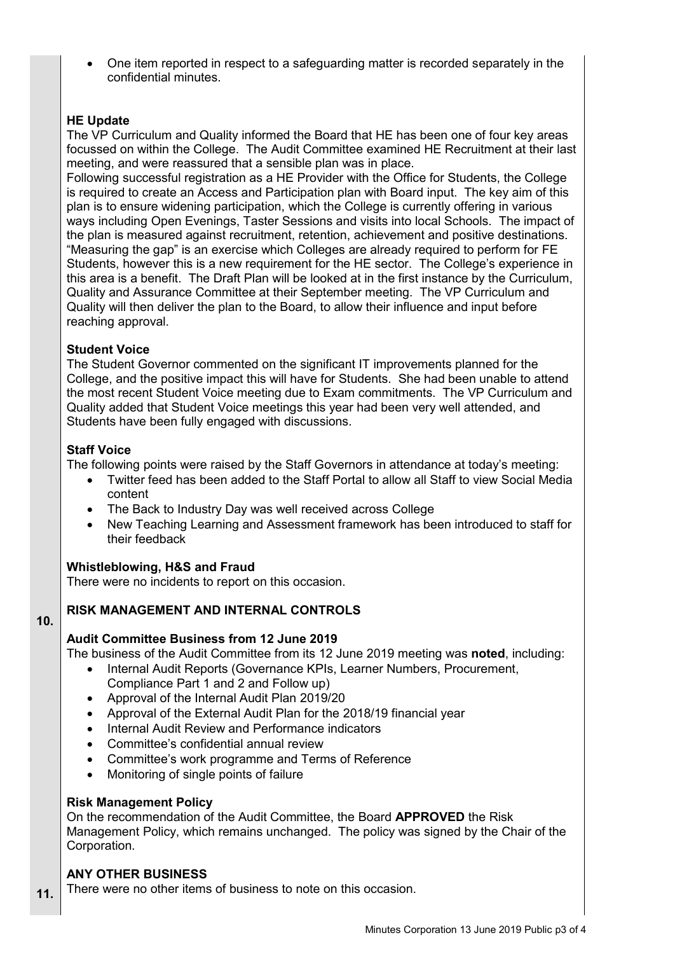One item reported in respect to a safeguarding matter is recorded separately in the confidential minutes.

### **HE Update**

The VP Curriculum and Quality informed the Board that HE has been one of four key areas focussed on within the College. The Audit Committee examined HE Recruitment at their last meeting, and were reassured that a sensible plan was in place.

Following successful registration as a HE Provider with the Office for Students, the College is required to create an Access and Participation plan with Board input. The key aim of this plan is to ensure widening participation, which the College is currently offering in various ways including Open Evenings, Taster Sessions and visits into local Schools. The impact of the plan is measured against recruitment, retention, achievement and positive destinations. "Measuring the gap" is an exercise which Colleges are already required to perform for FE Students, however this is a new requirement for the HE sector. The College's experience in this area is a benefit. The Draft Plan will be looked at in the first instance by the Curriculum, Quality and Assurance Committee at their September meeting. The VP Curriculum and Quality will then deliver the plan to the Board, to allow their influence and input before reaching approval.

### **Student Voice**

The Student Governor commented on the significant IT improvements planned for the College, and the positive impact this will have for Students. She had been unable to attend the most recent Student Voice meeting due to Exam commitments. The VP Curriculum and Quality added that Student Voice meetings this year had been very well attended, and Students have been fully engaged with discussions.

## **Staff Voice**

The following points were raised by the Staff Governors in attendance at today's meeting:

- Twitter feed has been added to the Staff Portal to allow all Staff to view Social Media content
- The Back to Industry Day was well received across College
- New Teaching Learning and Assessment framework has been introduced to staff for their feedback

### **Whistleblowing, H&S and Fraud**

There were no incidents to report on this occasion.

### **RISK MANAGEMENT AND INTERNAL CONTROLS**

#### **10.**

### **Audit Committee Business from 12 June 2019**

The business of the Audit Committee from its 12 June 2019 meeting was **noted**, including:

- Internal Audit Reports (Governance KPIs, Learner Numbers, Procurement, Compliance Part 1 and 2 and Follow up)
- Approval of the Internal Audit Plan 2019/20
- Approval of the External Audit Plan for the 2018/19 financial year
- Internal Audit Review and Performance indicators
- Committee's confidential annual review
- Committee's work programme and Terms of Reference
- Monitoring of single points of failure

### **Risk Management Policy**

On the recommendation of the Audit Committee, the Board **APPROVED** the Risk Management Policy, which remains unchanged. The policy was signed by the Chair of the Corporation.

### **ANY OTHER BUSINESS**

**11.** There were no other items of business to note on this occasion.